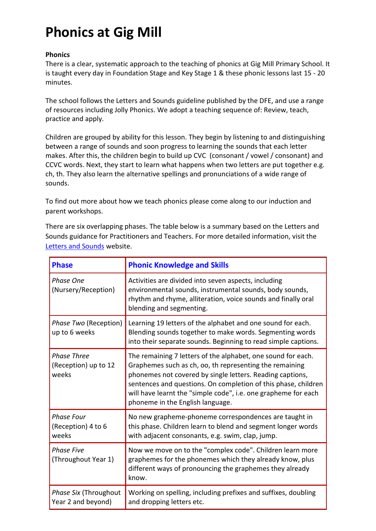# **Phonics at Gig Mill**

## **Phonics**

There is a clear, systematic approach to the teaching of phonics at Gig Mill Primary School. It is taught every day in Foundation Stage and Key Stage 1 & these phonic lessons last 15 - 20 minutes.

The school follows the Letters and Sounds guideline published by the DFE, and use a range of resources including Jolly Phonics. We adopt a teaching sequence of: Review, teach, practice and apply.

Children are grouped by ability for this lesson. They begin by listening to and distinguishing between a range of sounds and soon progress to learning the sounds that each letter makes. After this, the children begin to build up CVC (consonant / vowel / consonant) and CCVC words. Next, they start to learn what happens when two letters are put together e.g. ch, th. They also learn the alternative spellings and pronunciations of a wide range of sounds.

To find out more about how we teach phonics please come along to our induction and parent workshops.

There are six overlapping phases. The table below is a summary based on the Letters and Sounds guidance for Practitioners and Teachers. For more detailed information, visit the [Letters and Sounds](http://nationalstrategies.standards.dcsf.gov.uk/node/84969) website.

| <b>Phase</b>                                        | <b>Phonic Knowledge and Skills</b>                                                                                                                                                                                                                                                                                                                           |
|-----------------------------------------------------|--------------------------------------------------------------------------------------------------------------------------------------------------------------------------------------------------------------------------------------------------------------------------------------------------------------------------------------------------------------|
| <b>Phase One</b><br>(Nursery/Reception)             | Activities are divided into seven aspects, including<br>environmental sounds, instrumental sounds, body sounds,<br>rhythm and rhyme, alliteration, voice sounds and finally oral<br>blending and segmenting.                                                                                                                                                 |
| Phase Two (Reception)<br>up to 6 weeks              | Learning 19 letters of the alphabet and one sound for each.<br>Blending sounds together to make words. Segmenting words<br>into their separate sounds. Beginning to read simple captions.                                                                                                                                                                    |
| <b>Phase Three</b><br>(Reception) up to 12<br>weeks | The remaining 7 letters of the alphabet, one sound for each.<br>Graphemes such as ch, oo, th representing the remaining<br>phonemes not covered by single letters. Reading captions,<br>sentences and questions. On completion of this phase, children<br>will have learnt the "simple code", i.e. one grapheme for each<br>phoneme in the English language. |
| <b>Phase Four</b><br>(Reception) 4 to 6<br>weeks    | No new grapheme-phoneme correspondences are taught in<br>this phase. Children learn to blend and segment longer words<br>with adjacent consonants, e.g. swim, clap, jump.                                                                                                                                                                                    |
| <b>Phase Five</b><br>(Throughout Year 1)            | Now we move on to the "complex code". Children learn more<br>graphemes for the phonemes which they already know, plus<br>different ways of pronouncing the graphemes they already<br>know.                                                                                                                                                                   |
| Phase Six (Throughout<br>Year 2 and beyond)         | Working on spelling, including prefixes and suffixes, doubling<br>and dropping letters etc.                                                                                                                                                                                                                                                                  |